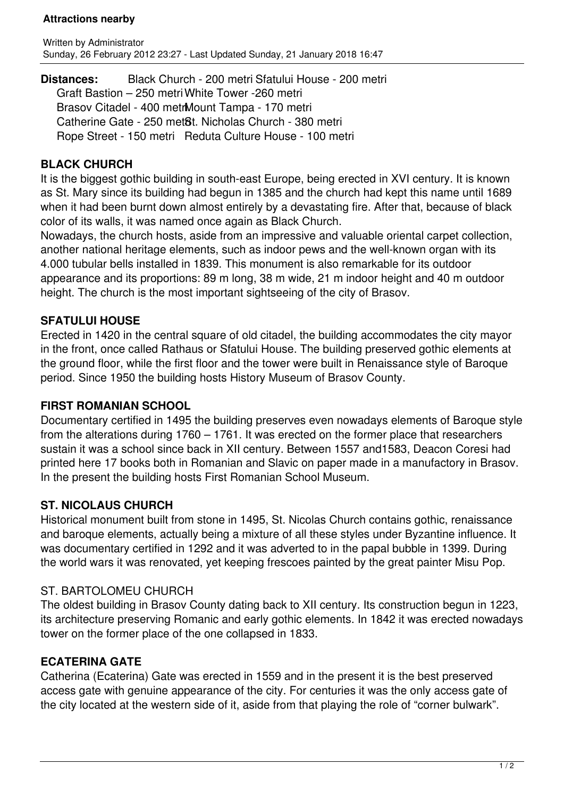### **Attractions nearby**

**Distances:** Black Church - 200 metri Sfatului House - 200 metri Graft Bastion – 250 metri White Tower -260 metri Brasov Citadel - 400 metrMount Tampa - 170 metri Catherine Gate - 250 met<sup>8</sup>t. Nicholas Church - 380 metri Rope Street - 150 metri Reduta Culture House - 100 metri

## **BLACK CHURCH**

It is the biggest gothic building in south-east Europe, being erected in XVI century. It is known as St. Mary since its building had begun in 1385 and the church had kept this name until 1689 when it had been burnt down almost entirely by a devastating fire. After that, because of black color of its walls, it was named once again as Black Church.

Nowadays, the church hosts, aside from an impressive and valuable oriental carpet collection, another national heritage elements, such as indoor pews and the well-known organ with its 4.000 tubular bells installed in 1839. This monument is also remarkable for its outdoor appearance and its proportions: 89 m long, 38 m wide, 21 m indoor height and 40 m outdoor height. The church is the most important sightseeing of the city of Brasov.

## **SFATULUI HOUSE**

Erected in 1420 in the central square of old citadel, the building accommodates the city mayor in the front, once called Rathaus or Sfatului House. The building preserved gothic elements at the ground floor, while the first floor and the tower were built in Renaissance style of Baroque period. Since 1950 the building hosts History Museum of Brasov County.

### **FIRST ROMANIAN SCHOOL**

Documentary certified in 1495 the building preserves even nowadays elements of Baroque style from the alterations during 1760 – 1761. It was erected on the former place that researchers sustain it was a school since back in XII century. Between 1557 and1583, Deacon Coresi had printed here 17 books both in Romanian and Slavic on paper made in a manufactory in Brasov. In the present the building hosts First Romanian School Museum.

# **ST. NICOLAUS CHURCH**

Historical monument built from stone in 1495, St. Nicolas Church contains gothic, renaissance and baroque elements, actually being a mixture of all these styles under Byzantine influence. It was documentary certified in 1292 and it was adverted to in the papal bubble in 1399. During the world wars it was renovated, yet keeping frescoes painted by the great painter Misu Pop.

### ST. BARTOLOMEU CHURCH

The oldest building in Brasov County dating back to XII century. Its construction begun in 1223, its architecture preserving Romanic and early gothic elements. In 1842 it was erected nowadays tower on the former place of the one collapsed in 1833.

# **ECATERINA GATE**

Catherina (Ecaterina) Gate was erected in 1559 and in the present it is the best preserved access gate with genuine appearance of the city. For centuries it was the only access gate of the city located at the western side of it, aside from that playing the role of "corner bulwark".